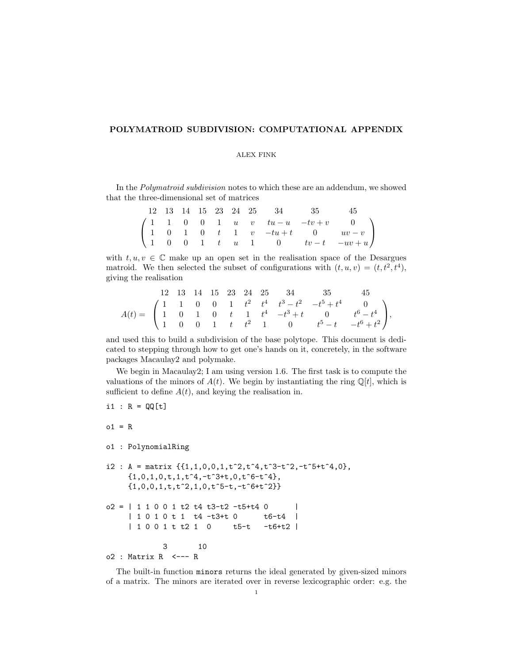## POLYMATROID SUBDIVISION: COMPUTATIONAL APPENDIX

## ALEX FINK

In the Polymatroid subdivision notes to which these are an addendum, we showed that the three-dimensional set of matrices

|  |  |  |  | 12 13 14 15 23 24 25 34 35 45 |                                                                                                                                                                                                  |
|--|--|--|--|-------------------------------|--------------------------------------------------------------------------------------------------------------------------------------------------------------------------------------------------|
|  |  |  |  |                               |                                                                                                                                                                                                  |
|  |  |  |  |                               | $\left(\begin{array}{ccccccccc} 1 & 1 & 0 & 0 & 1 & u & v & tu-u & -tv+v & 0 \\ 1 & 0 & 1 & 0 & t & 1 & v & -tu+t & 0 & uv-v \\ 1 & 0 & 0 & 1 & t & u & 1 & 0 & tv-t & -uv+u \end{array}\right)$ |
|  |  |  |  |                               |                                                                                                                                                                                                  |

with  $t, u, v \in \mathbb{C}$  make up an open set in the realisation space of the Desargues matroid. We then selected the subset of configurations with  $(t, u, v) = (t, t^2, t^4)$ , giving the realisation

$$
A(t) = \begin{pmatrix} 12 & 13 & 14 & 15 & 23 & 24 & 25 & 34 & 35 & 45 \\ 1 & 1 & 0 & 0 & 1 & t^2 & t^4 & t^3 - t^2 & -t^5 + t^4 & 0 \\ 1 & 0 & 1 & 0 & t & 1 & t^4 & -t^3 + t & 0 & t^6 - t^4 \\ 1 & 0 & 0 & 1 & t & t^2 & 1 & 0 & t^5 - t & -t^6 + t^2 \end{pmatrix},
$$

and used this to build a subdivision of the base polytope. This document is dedicated to stepping through how to get one's hands on it, concretely, in the software packages Macaulay2 and polymake.

We begin in Macaulay2; I am using version 1.6. The first task is to compute the valuations of the minors of  $A(t)$ . We begin by instantiating the ring  $\mathbb{Q}[t]$ , which is sufficient to define  $A(t)$ , and keying the realisation in.

```
i1 : R = QQ[t]o1 = Ro1 : PolynomialRing
i2 : A = matrix \{1,1,0,0,1,t^2,t^4,t^3-t^2,-t^5+t^4,0\},
    {1,0,1,0,t,1,t^4,-t^3+t,0,t^6-t^4},\{1,0,0,1,t,t^2,1,0,t^5-t,-t^6+t^2\}o2 = | 1 1 0 0 1 t2 t4 t3-t2 -t5+t4 0 || 1 0 1 0 t 1 t4 -t3+t 0 t6-t4 |
    | 1 0 0 1 t t2 1 0 t5-t -t6+t2 |
            3 10
o2 : Matrix R <--- R
```
The built-in function minors returns the ideal generated by given-sized minors of a matrix. The minors are iterated over in reverse lexicographic order: e.g. the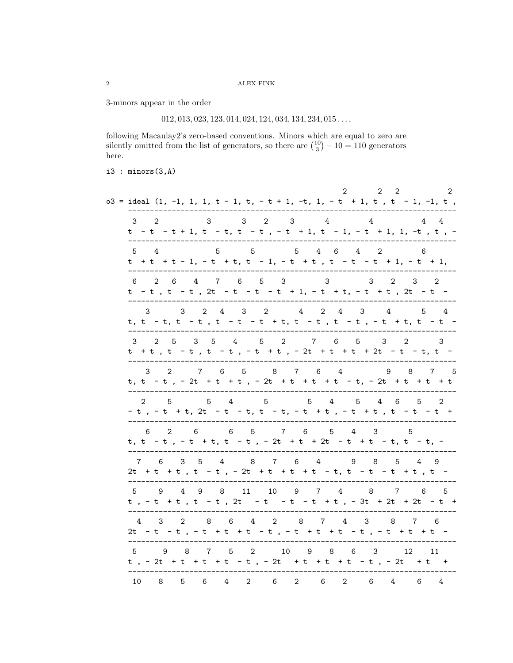3-minors appear in the order

 $012, 013, 023, 123, 014, 024, 124, 034, 134, 234, 015 \ldots,$ 

following Macaulay2's zero-based conventions. Minors which are equal to zero are silently omitted from the list of generators, so there are  $\binom{10}{3} - 10 = 110$  generators here.

i3 : minors(3,A)

| $\mathbf{2}$<br>2<br>2<br>2<br>$o3 = ideal$ (1, -1, 1, 1, t - 1, t, - t + 1, -t, 1, - t + 1, t, t - 1, -1, t,                                        |
|------------------------------------------------------------------------------------------------------------------------------------------------------|
| $3 \quad 2 \quad 3 \quad 4$<br>3<br>$\overline{4}$<br>3 2<br>$\frac{4}{3}$<br>4<br>t - t - t + 1, t - t, t - t, - t + 1, t - 1, - t + 1, 1, -t, t, - |
| 555<br>$5\quad 4\quad 6\quad 4\quad 2$<br>- 6<br>5 4<br>t + t + t - 1, - t + t, t - 1, - t + t, t - t - t + 1, - t + 1,                              |
| 6 2 6 4 7 6 5 3<br>3<br>$\overline{2}$<br>3<br>3<br>2<br>t - t, t - t, 2t - t - t - t + 1, - t + t, - t + t, 2t - t -                                |
| 3   2   4   3   2   4   2   4   3   4   5   4<br>3<br>t, t - t, t - t , t - t - t + t, t - t , t - t , - t + t, t - t -                              |
| 2 5 3 5 4 5 2 7 6 5 3 2<br>3<br>3<br>t + t , t - t , t - t , - t + t , - 2t + t + t + 2t - t - t, t -                                                |
| 7 6 5 8 7 6 4<br>9 8 7 5<br>2<br>3<br>t, t - t , - 2t + t + t , - 2t + t + t + t - t, - 2t + t + t + t                                               |
| $5 \t 4 \t 5 \t 4 \t 6$<br>$5\quad 4\quad 5$<br>5<br>2<br>$-5$<br>2<br>- t , - t + t, 2t - t - t, t - t, - t + t , - t + t , t - t - t +             |
| 6 5 7 6 5<br>$2 \t 6$<br>4 3<br>5<br>6<br>t, t - t , - t + t, t - t , - 2t + t + 2t - t + t - t, t - t, -                                            |
| 3 5 4 8 7 6 4 9 8 5 4 9<br>7 6<br>2t + t + t , t - t , - 2t + t + t + t - t, t - t - t + t , t -                                                     |
| 5 9 4 9 8 11 10 9 7 4 8 7 6 5<br>t, -t +t, t -t, 2t -t -t -t +t, -3t +2t +2t -t +                                                                    |
| 2 8 6 4 2 8 7 4 3 8<br>- 3<br>7 6<br>4<br>2t - t - t , - t + t + t - t , - t + t + t - t , - t + t + t -                                             |
| 9 8 7 5 2 10 9 8 6 3<br>-5<br>12 11<br>t, - 2t + t + t + t - t, - 2t + t + t + t - t, - 2t + t +                                                     |
| $\overline{2}$<br>6<br>$\overline{2}$<br>10<br>- 8<br>5<br>6<br>4<br>6<br>2<br>6<br>4<br>6<br>4                                                      |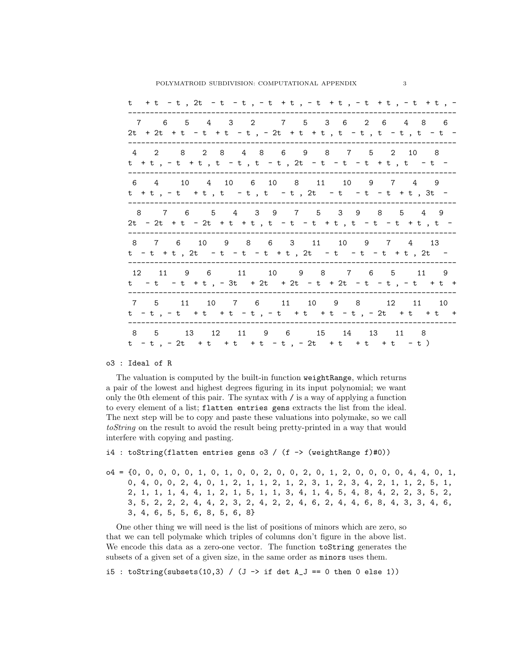| t +t -t, 2t -t -t, -t +t, -t +t, -t +t, -t +t, -                                                      |
|-------------------------------------------------------------------------------------------------------|
| 7 6 5 4 3 2 7 5 3 6 2 6 4 8 6<br>2t + 2t + t - t + t - t, - 2t + t + t, t - t, t - t, t - t -         |
| 4 2 8 2 8 4 8 6 9 8 7 5 2 10 8<br>t +t,-t +t,t-t,t-t,2t-t-t-t+t,t-t-                                  |
| 6 4 10 4 10 6 10 8 11 10 9 7 4 9<br>t + t , - t + t , t - t , t - t , 2t - t - t - t + t , 3t -       |
| 8 7 6 5 4 3 9 7 5 3 9 8 5 4 9<br>$2t - 2t + t - 2t + t + t$ , $t - t + t$ , $t - t - t + t$ , $t - t$ |
| 8 7 6 10 9 8 6 3 11 10 9 7 4 13<br>t - t + t, 2t - t - t - t + t, 2t - t - t - t + t, 2t -            |
| 12 11 9 6 11 10 9 8 7 6 5 11 9<br>t - t - t + t, - 3t + 2t + 2t - t + 2t - t + t, - t + t +           |
| 7 5 11 10 7 6 11 10 9 8 12 11 10<br>t - t, - t + t + t - t, - t + t + t - t, - 2t + t + t +           |
| 8 5 13 12 11 9 6 15 14 13 11 8<br>t - t, - 2t + t + t + t - t, - 2t + t + t + t - t)                  |

o3 : Ideal of R

The valuation is computed by the built-in function weightRange, which returns a pair of the lowest and highest degrees figuring in its input polynomial; we want only the 0th element of this pair. The syntax with / is a way of applying a function to every element of a list; flatten entries gens extracts the list from the ideal. The next step will be to copy and paste these valuations into polymake, so we call toString on the result to avoid the result being pretty-printed in a way that would interfere with copying and pasting.

```
i4 : toString(flatten entries gens o3 / (f -> (weightRange f)#0))
```
o4 = {0, 0, 0, 0, 0, 1, 0, 1, 0, 0, 2, 0, 0, 2, 0, 1, 2, 0, 0, 0, 0, 4, 4, 0, 1, 0, 4, 0, 0, 2, 4, 0, 1, 2, 1, 1, 2, 1, 2, 3, 1, 2, 3, 4, 2, 1, 1, 2, 5, 1, 2, 1, 1, 1, 4, 4, 1, 2, 1, 5, 1, 1, 3, 4, 1, 4, 5, 4, 8, 4, 2, 2, 3, 5, 2, 3, 5, 2, 2, 2, 4, 4, 2, 3, 2, 4, 2, 2, 4, 6, 2, 4, 4, 6, 8, 4, 3, 3, 4, 6, 3, 4, 6, 5, 5, 6, 8, 5, 6, 8}

One other thing we will need is the list of positions of minors which are zero, so that we can tell polymake which triples of columns don't figure in the above list. We encode this data as a zero-one vector. The function toString generates the subsets of a given set of a given size, in the same order as minors uses them.

i5 : toString(subsets(10,3) / (J -> if det  $A_J = 0$  then 0 else 1))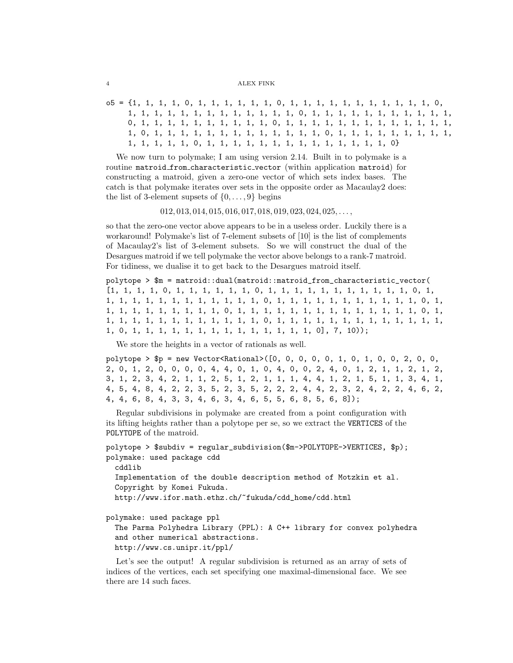## 4 ALEX FINK

```
o5 = {1, 1, 1, 1, 0, 1, 1, 1, 1, 1, 1, 0, 1, 1, 1, 1, 1, 1, 1, 1, 1, 1, 1, 0,
     1, 1, 1, 1, 1, 1, 1, 1, 1, 1, 1, 1, 1, 0, 1, 1, 1, 1, 1, 1, 1, 1, 1, 1, 1,
     0, 1, 1, 1, 1, 1, 1, 1, 1, 1, 1, 0, 1, 1, 1, 1, 1, 1, 1, 1, 1, 1, 1, 1, 1,
     1, 0, 1, 1, 1, 1, 1, 1, 1, 1, 1, 1, 1, 1, 1, 0, 1, 1, 1, 1, 1, 1, 1, 1, 1,
     1, 1, 1, 1, 1, 0, 1, 1, 1, 1, 1, 1, 1, 1, 1, 1, 1, 1, 1, 1, 0}
```
We now turn to polymake; I am using version 2.14. Built in to polymake is a routine matroid from characteristic vector (within application matroid) for constructing a matroid, given a zero-one vector of which sets index bases. The catch is that polymake iterates over sets in the opposite order as Macaulay2 does: the list of 3-element supsets of  $\{0, \ldots, 9\}$  begins

 $012, 013, 014, 015, 016, 017, 018, 019, 023, 024, 025, \ldots,$ 

so that the zero-one vector above appears to be in a useless order. Luckily there is a workaround! Polymake's list of 7-element subsets of [10] is the list of complements of Macaulay2's list of 3-element subsets. So we will construct the dual of the Desargues matroid if we tell polymake the vector above belongs to a rank-7 matroid. For tidiness, we dualise it to get back to the Desargues matroid itself.

```
polytope > $m = matroid::dual(matroid::matroid_from_characteristic_vector(
[1, 1, 1, 1, 0, 1, 1, 1, 1, 1, 1, 0, 1, 1, 1, 1, 1, 1, 1, 1, 1, 1, 1, 0, 1,
1, 1, 1, 1, 1, 1, 1, 1, 1, 1, 1, 1, 0, 1, 1, 1, 1, 1, 1, 1, 1, 1, 1, 1, 0, 1,
1, 1, 1, 1, 1, 1, 1, 1, 1, 0, 1, 1, 1, 1, 1, 1, 1, 1, 1, 1, 1, 1, 1, 1, 0, 1,
1, 1, 1, 1, 1, 1, 1, 1, 1, 1, 1, 1, 0, 1, 1, 1, 1, 1, 1, 1, 1, 1, 1, 1, 1, 1,
1, 0, 1, 1, 1, 1, 1, 1, 1, 1, 1, 1, 1, 1, 1, 1, 0], 7, 10));
```
We store the heights in a vector of rationals as well.

polytope > \$p = new Vector<Rational>([0, 0, 0, 0, 0, 1, 0, 1, 0, 0, 2, 0, 0, 2, 0, 1, 2, 0, 0, 0, 0, 4, 4, 0, 1, 0, 4, 0, 0, 2, 4, 0, 1, 2, 1, 1, 2, 1, 2, 3, 1, 2, 3, 4, 2, 1, 1, 2, 5, 1, 2, 1, 1, 1, 4, 4, 1, 2, 1, 5, 1, 1, 3, 4, 1, 4, 5, 4, 8, 4, 2, 2, 3, 5, 2, 3, 5, 2, 2, 2, 4, 4, 2, 3, 2, 4, 2, 2, 4, 6, 2, 4, 4, 6, 8, 4, 3, 3, 4, 6, 3, 4, 6, 5, 5, 6, 8, 5, 6, 8]);

Regular subdivisions in polymake are created from a point configuration with its lifting heights rather than a polytope per se, so we extract the VERTICES of the POLYTOPE of the matroid.

```
polytope > $subdiv = regular_subdivision($m->POLYTOPE->VERTICES, $p);
polymake: used package cdd
  cddlib
  Implementation of the double description method of Motzkin et al.
  Copyright by Komei Fukuda.
  http://www.ifor.math.ethz.ch/~fukuda/cdd_home/cdd.html
polymake: used package ppl
```
The Parma Polyhedra Library (PPL): A C++ library for convex polyhedra and other numerical abstractions. http://www.cs.unipr.it/ppl/

Let's see the output! A regular subdivision is returned as an array of sets of indices of the vertices, each set specifying one maximal-dimensional face. We see there are 14 such faces.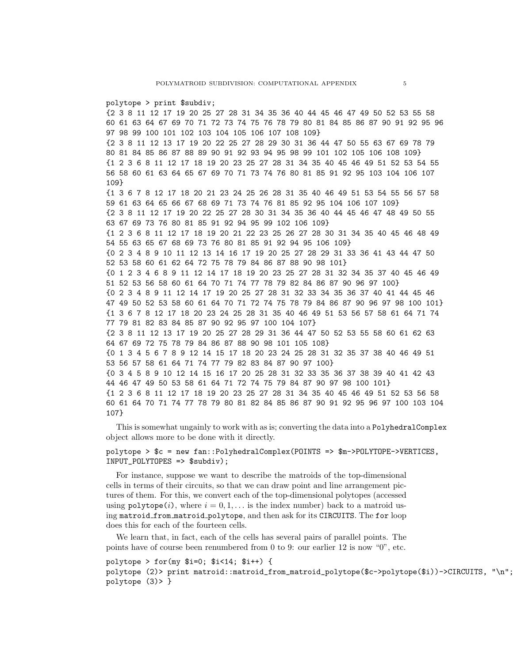polytope > print \$subdiv; {2 3 8 11 12 17 19 20 25 27 28 31 34 35 36 40 44 45 46 47 49 50 52 53 55 58 60 61 63 64 67 69 70 71 72 73 74 75 76 78 79 80 81 84 85 86 87 90 91 92 95 96 97 98 99 100 101 102 103 104 105 106 107 108 109} {2 3 8 11 12 13 17 19 20 22 25 27 28 29 30 31 36 44 47 50 55 63 67 69 78 79 80 81 84 85 86 87 88 89 90 91 92 93 94 95 98 99 101 102 105 106 108 109} {1 2 3 6 8 11 12 17 18 19 20 23 25 27 28 31 34 35 40 45 46 49 51 52 53 54 55 56 58 60 61 63 64 65 67 69 70 71 73 74 76 80 81 85 91 92 95 103 104 106 107 109} {1 3 6 7 8 12 17 18 20 21 23 24 25 26 28 31 35 40 46 49 51 53 54 55 56 57 58 59 61 63 64 65 66 67 68 69 71 73 74 76 81 85 92 95 104 106 107 109} {2 3 8 11 12 17 19 20 22 25 27 28 30 31 34 35 36 40 44 45 46 47 48 49 50 55 63 67 69 73 76 80 81 85 91 92 94 95 99 102 106 109} {1 2 3 6 8 11 12 17 18 19 20 21 22 23 25 26 27 28 30 31 34 35 40 45 46 48 49 54 55 63 65 67 68 69 73 76 80 81 85 91 92 94 95 106 109} {0 2 3 4 8 9 10 11 12 13 14 16 17 19 20 25 27 28 29 31 33 36 41 43 44 47 50 52 53 58 60 61 62 64 72 75 78 79 84 86 87 88 90 98 101} {0 1 2 3 4 6 8 9 11 12 14 17 18 19 20 23 25 27 28 31 32 34 35 37 40 45 46 49 51 52 53 56 58 60 61 64 70 71 74 77 78 79 82 84 86 87 90 96 97 100} {0 2 3 4 8 9 11 12 14 17 19 20 25 27 28 31 32 33 34 35 36 37 40 41 44 45 46 47 49 50 52 53 58 60 61 64 70 71 72 74 75 78 79 84 86 87 90 96 97 98 100 101} {1 3 6 7 8 12 17 18 20 23 24 25 28 31 35 40 46 49 51 53 56 57 58 61 64 71 74 77 79 81 82 83 84 85 87 90 92 95 97 100 104 107} {2 3 8 11 12 13 17 19 20 25 27 28 29 31 36 44 47 50 52 53 55 58 60 61 62 63 64 67 69 72 75 78 79 84 86 87 88 90 98 101 105 108} {0 1 3 4 5 6 7 8 9 12 14 15 17 18 20 23 24 25 28 31 32 35 37 38 40 46 49 51 53 56 57 58 61 64 71 74 77 79 82 83 84 87 90 97 100} {0 3 4 5 8 9 10 12 14 15 16 17 20 25 28 31 32 33 35 36 37 38 39 40 41 42 43 44 46 47 49 50 53 58 61 64 71 72 74 75 79 84 87 90 97 98 100 101} {1 2 3 6 8 11 12 17 18 19 20 23 25 27 28 31 34 35 40 45 46 49 51 52 53 56 58 60 61 64 70 71 74 77 78 79 80 81 82 84 85 86 87 90 91 92 95 96 97 100 103 104 107}

This is somewhat ungainly to work with as is; converting the data into a PolyhedralComplex object allows more to be done with it directly.

polytope > \$c = new fan::PolyhedralComplex(POINTS => \$m->POLYTOPE->VERTICES, INPUT\_POLYTOPES => \$subdiv);

For instance, suppose we want to describe the matroids of the top-dimensional cells in terms of their circuits, so that we can draw point and line arrangement pictures of them. For this, we convert each of the top-dimensional polytopes (accessed using  $\text{polytope}(i)$ , where  $i = 0, 1, \ldots$  is the index number) back to a matroid using matroid from matroid polytope, and then ask for its CIRCUITS. The for loop does this for each of the fourteen cells.

We learn that, in fact, each of the cells has several pairs of parallel points. The points have of course been renumbered from 0 to 9: our earlier 12 is now "0", etc.

polytope > for(my \$i=0; \$i<14; \$i++) { polytope (2)> print matroid::matroid\_from\_matroid\_polytope(\$c->polytope(\$i))->CIRCUITS, "\n"; polytope (3)> }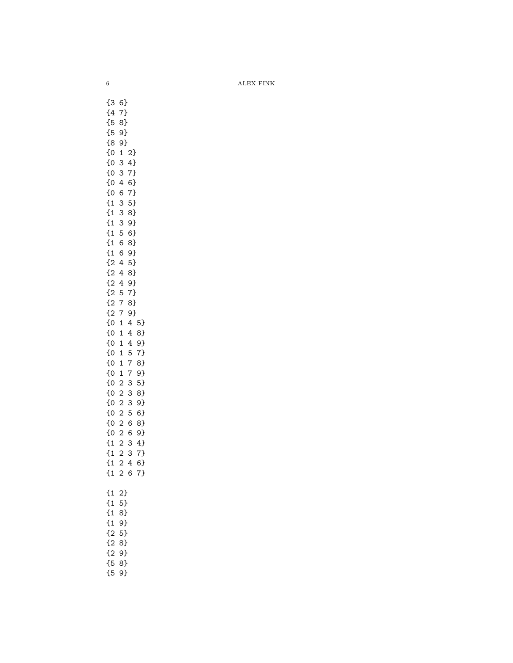$6$   $\hfill$  ALEX FINK

{3 6} {4 7} {5 8} {5 9} {8 9} {0 1 2} {0 3 4} {0 3 7} {0 4 6} {0 6 7} {1 3 5} {1 3 8} {1 3 9} {1 5 6} {1 6 8} {1 6 9} {2 4 5} {2 4 8} {2 4 9} {2 5 7} {2 7 8} {2 7 9} {0 1 4 5} {0 1 4 8} {0 1 4 9} {0 1 5 7} {0 1 7 8} {0 1 7 9} {0 2 3 5} {0 2 3 8} {0 2 3 9} {0 2 5 6} {0 2 6 8} {0 2 6 9} {1 2 3 4} {1 2 3 7} {1 2 4 6} {1 2 6 7} {1 2} {1 5} {1 8} {1 9} {2 5} {2 8} {2 9} {5 8} {5 9}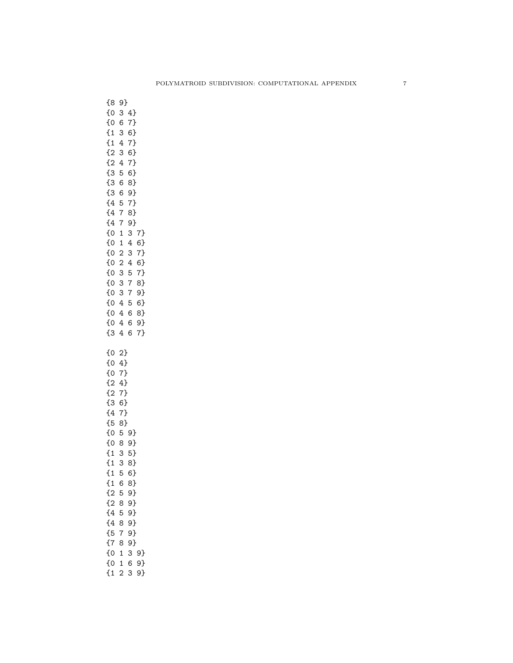| $\{8$<br>$\begin{matrix} 0 \\ 0 \\ 0 \\ 0 \\ 0 \end{matrix}$<br>$\frac{1}{2}$                                                                           | 9}<br>3<br>6<br>3<br>4<br>3<br>4<br>5<br>6<br>6                                                                          | 4}<br>7}<br>-<br>$\binom{6}{1}$<br>$\begin{bmatrix} 7 \\ -1 \end{bmatrix}$<br>$6$ }<br>7}<br>6)8)7、8)9) |                  |
|---------------------------------------------------------------------------------------------------------------------------------------------------------|--------------------------------------------------------------------------------------------------------------------------|---------------------------------------------------------------------------------------------------------|------------------|
|                                                                                                                                                         | 5<br>$\overline{7}$<br>$\overline{7}$<br>$\begin{array}{c} 1 \\ 1 \\ 2 \end{array}$<br>$\overline{\mathbf{c}}$<br>3<br>3 | 3<br>$\overline{4}$<br>3<br>$\overline{4}$<br>5<br>$\overline{7}$                                       | 7467467489468974 |
| ${0}$                                                                                                                                                   | 3<br>$\overline{4}$<br>$\overline{4}$<br>$\overline{4}$<br>$\overline{4}$<br>2}                                          | $\overline{7}$<br>5<br>$\overline{6}$<br>6<br>6                                                         |                  |
| $\overline{5}$                                                                                                                                          | 4 7 4 7 6 7 8}                                                                                                           |                                                                                                         |                  |
| $\overline{6}$<br>۔<br>0}<br>--<br>{1<br>$\overline{\mathfrak{c}}$<br>ł<br>$\overline{1}$<br>$\overline{\mathcal{L}}$<br>$\mathbf{1}$<br>$\overline{2}$ | 8<br>$\overline{3}$<br>5<br>6<br>5                                                                                       | 59<br>5<br>9}<br>5}<br>-<br>38}<br>6}<br>-<br>8}<br>.<br>9}                                             |                  |
| $\overline{2}$<br>$\overline{\overline{4}}$<br>$\overline{\overline{4}}$<br>$\overline{\overline{5}}$<br>$\overline{\overline{6}}$<br>{0<br>{0          | 8<br>5<br>8<br>$\overline{7}$<br>8<br>$\overline{1}$<br>$\mathbf{1}$                                                     | .<br>9}<br>.<br>9}<br>.<br>9}<br>.<br>9}<br>9}<br>3<br>6                                                | 9}<br>9)         |

{1 2 3 9}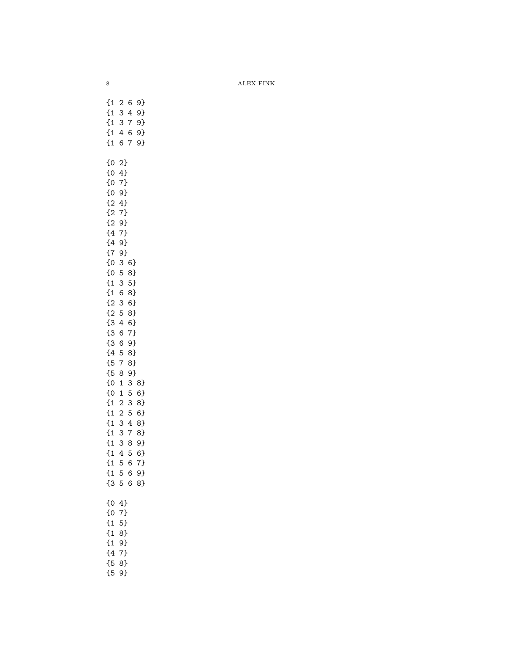$8$   $\hfill$  ALEX FINK

{1 2 6 9} {1 3 4 9} {1 3 7 9} {1 4 6 9} {1 6 7 9} {0 2} {0 4} {0 7} {0 9} {2 4} {2 7} {2 9} {4 7} {4 9} {7 9} {0 3 6} {0 5 8} {1 3 5} {1 6 8} {2 3 6} {2 5 8} {3 4 6} {3 6 7} {3 6 9} {4 5 8} {5 7 8} {5 8 9} {0 1 3 8} {0 1 5 6} {1 2 3 8} {1 2 5 6} {1 3 4 8} {1 3 7 8} {1 3 8 9} {1 4 5 6} {1 5 6 7} {1 5 6 9} {3 5 6 8} {0 4} {0 7} {1 5} {1 8} {1 9} {4 7} {5 8} {5 9}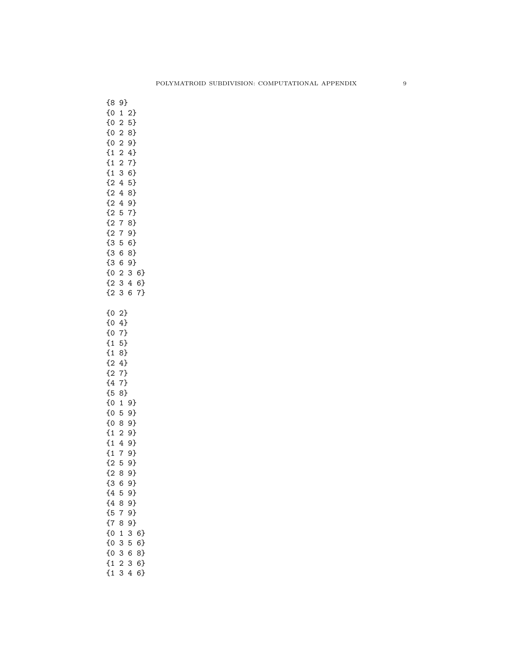| ${8}$<br>しりのののはははははないのです。<br>$\overline{3}$<br>$\overline{\mathfrak{c}}$<br>$\frac{1}{2}$<br>$\overline{2}$                                                                                                                                                                                                                                                                                                                                                                                                                                                                              | 9}<br>$\mathbf{1}$<br>$\overline{\mathbf{c}}$<br>$\overline{\mathbf{c}}$<br>$\overline{c}$<br>$\begin{array}{c} 2 \\ 2 \\ 3 \end{array}$<br>$\overline{4}$<br>4<br>$\overline{4}$<br>5<br>$\overline{7}$<br>$\overline{7}$<br>$\overline{5}$<br>6623<br>3 | 2589476589789689599                                                                            | $\begin{array}{c} 3 & 6 \\ 4 & 6 \end{array}$<br>6 7}<br>$6$ }<br>7} |
|------------------------------------------------------------------------------------------------------------------------------------------------------------------------------------------------------------------------------------------------------------------------------------------------------------------------------------------------------------------------------------------------------------------------------------------------------------------------------------------------------------------------------------------------------------------------------------------|-----------------------------------------------------------------------------------------------------------------------------------------------------------------------------------------------------------------------------------------------------------|------------------------------------------------------------------------------------------------|----------------------------------------------------------------------|
| {0<br>$\overline{\mathfrak{c}}$<br>$\overline{\mathfrak{c}}$<br>$\overline{\mathfrak{t}}$<br>$\overline{\mathfrak{t}}$<br>$\overline{2}$<br>$\overline{2}$<br>$\overline{\overline{4}}$<br>$\overline{\overline{5}}$<br>$\overline{\mathfrak{c}}$<br>$\overline{\overline{0}}$<br>$\overline{\overline{0}}$<br>$\overline{\mathfrak{t}}$<br>$\overline{\mathfrak{t}}$<br>$\overline{\mathfrak{t}}$<br>$\overline{2}$<br>$\overline{2}$<br>{3<br>$\overline{\overline{4}}$<br>$\overline{\overline{4}}$<br>{5<br>$\overline{\overline{6}}$<br>{0<br>{0<br>{0<br>$\overline{\mathfrak{t}}$ | 2}<br>$\overline{4}$<br>$7\}$<br>-<br>5}<br>- -<br>8}<br>۔<br>4}<br>7)<br>7)<br>-<br>8}<br>$\mathbf{1}$<br>8<br>6<br>5<br>8<br>$\overline{7}$<br>8<br>$\mathbf{1}$<br>3<br>3<br>$\overline{2}$                                                            | 9}<br>59<br>89<br>29<br>49<br>79<br>59<br>9}<br>9}<br>9}<br>9}<br>9}<br>9)<br>3<br>5<br>6<br>3 | 6}<br>6}<br>8}<br>6}                                                 |

{1 3 4 6}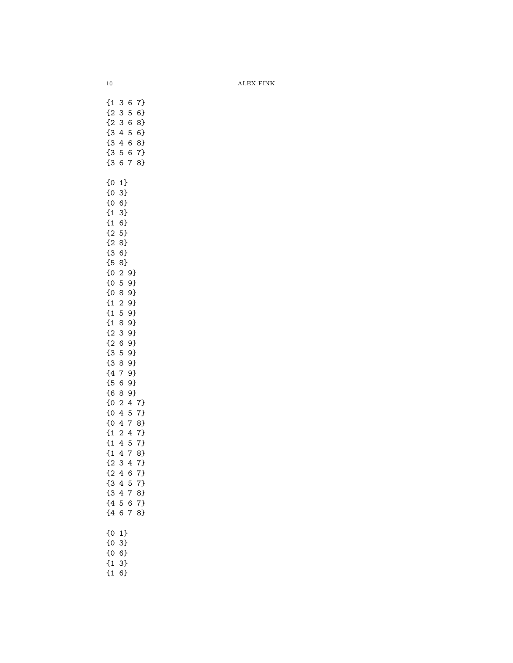$10$   $$\rm \,ALEX$   $\rm FINK$ 

{1 3 6 7} {2 3 5 6} {2 3 6 8} {3 4 5 6} {3 4 6 8} {3 5 6 7} {3 6 7 8} {0 1} {0 3} {0 6} {1 3} {1 6} {2 5} {2 8} {3 6} {5 8} {0 2 9} {0 5 9} {0 8 9} {1 2 9} {1 5 9} {1 8 9} {2 3 9} {2 6 9} {3 5 9} {3 8 9} {4 7 9} {5 6 9} {6 8 9} {0 2 4 7} {0 4 5 7} {0 4 7 8} {1 2 4 7} {1 4 5 7} {1 4 7 8} {2 3 4 7} {2 4 6 7} {3 4 5 7} {3 4 7 8} {4 5 6 7} {4 6 7 8} {0 1} {0 3} {0 6} {1 3} {1 6}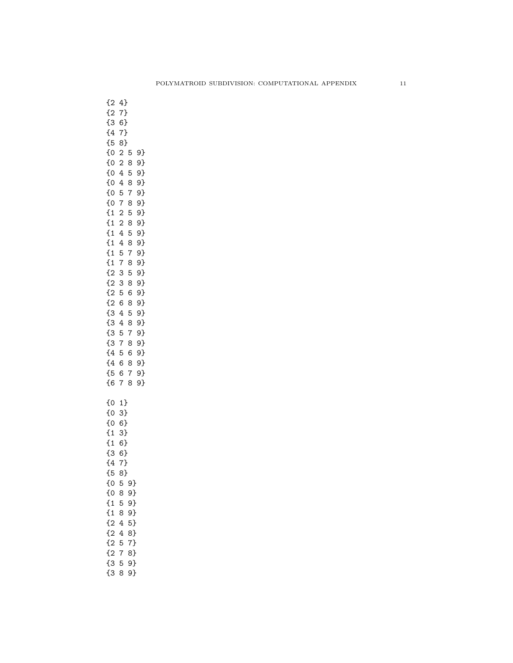{2 4} {2 7} {3 6} {4 7} {5 8} {0 2 5 9} {0 2 8 9} {0 4 5 9} {0 4 8 9} {0 5 7 9} {0 7 8 9} {1 2 5 9} {1 2 8 9} {1 4 5 9} {1 4 8 9} {1 5 7 9} {1 7 8 9} {2 3 5 9} {2 3 8 9} {2 5 6 9} {2 6 8 9} {3 4 5 9} {3 4 8 9} {3 5 7 9} {3 7 8 9} {4 5 6 9} {4 6 8 9} {5 6 7 9} {6 7 8 9} {0 1} {0 3} {0 6} {1 3} {1 6} {3 6} {4 7} {5 8} {0 5 9} {0 8 9} {1 5 9} {1 8 9} {2 4 5} {2 4 8} {2 5 7} {2 7 8} {3 5 9}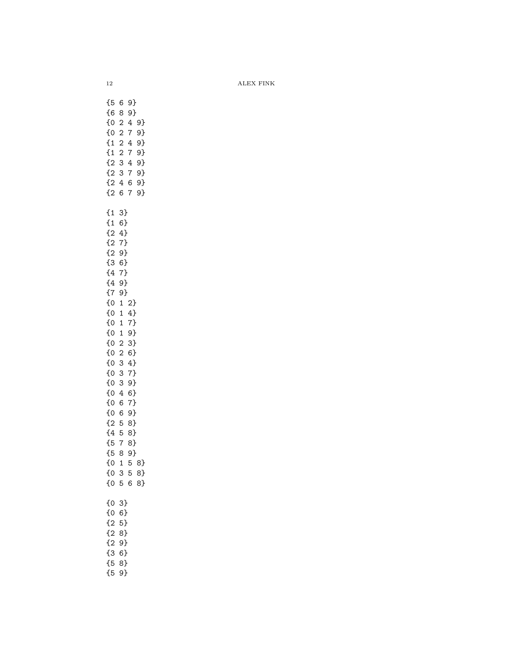12 ALEX FINK

{5 6 9} {6 8 9} {0 2 4 9} {0 2 7 9} {1 2 4 9} {1 2 7 9} {2 3 4 9} {2 3 7 9} {2 4 6 9} {2 6 7 9} {1 3} {1 6} {2 4} {2 7} {2 9} {3 6} {4 7} {4 9} {7 9} {0 1 2} {0 1 4} {0 1 7} {0 1 9} {0 2 3} {0 2 6} {0 3 4} {0 3 7} {0 3 9} {0 4 6} {0 6 7} {0 6 9} {2 5 8} {4 5 8} {5 7 8} {5 8 9} {0 1 5 8} {0 3 5 8} {0 5 6 8} {0 3} {0 6} {2 5} {2 8} {2 9} {3 6} {5 8} {5 9}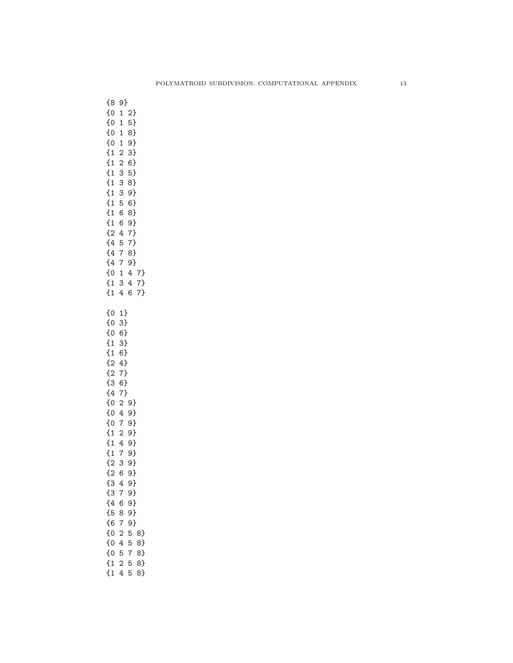| {8<br>{0<br>$\{0\}$<br>$\{0\}$<br>$\{0\}$<br>$\{1$<br>$\{1$<br>$\overline{\mathfrak{a}}$<br>$\overline{\mathfrak{a}}$<br>$\overline{\mathfrak{c}}$<br>$\overline{\mathfrak{c}}$<br>$\{1$<br>$\overline{\mathfrak{a}}$<br>$\{2,$<br>$\{4$<br>$\{4$<br>$\{4$<br>$\{0$<br>$\{1$<br>$\overline{\mathfrak{t}}$ | 9}<br>$\mathbf{1}$<br>$\mathbf{1}$<br>$\mathbf 1$<br>$\mathbf 1$<br>$\overline{\mathbf{c}}$<br>$\overline{c}$<br>3<br>3<br>3<br>5<br>6<br>6<br>4<br>5<br>$\overline{7}$<br>$\overline{7}$<br>$\mathbf{1}$<br>3<br>4                                        | 2}<br>5}<br>8}<br>9}<br>3}<br>6}<br>5}<br>8}<br>9}<br>6}<br>8}<br>9}<br>7}<br>$7\}$<br>8}<br>9}<br>$\overline{4}$<br>$\overline{4}$<br>6 | $\begin{bmatrix} 7 \\ -2 \end{bmatrix}$<br>7}<br>7} |
|-----------------------------------------------------------------------------------------------------------------------------------------------------------------------------------------------------------------------------------------------------------------------------------------------------------|------------------------------------------------------------------------------------------------------------------------------------------------------------------------------------------------------------------------------------------------------------|------------------------------------------------------------------------------------------------------------------------------------------|-----------------------------------------------------|
| {0<br>$\{0\}$<br>$\{0\}$<br>$\overline{\mathbf{1}}$<br>$\overline{\mathbf{1}}$<br>$\frac{1}{2}$<br>$\frac{1}{2}$<br>$\overline{3}$<br>{4 {0 {0 }}<br>{0 {0 {0 }}}<br>{1 {1 } {1 }<br>$\frac{1}{2}$<br>{3<br>{3<br>{4<br>-<br>{5<br>--<br>{6<br>۔<br>0}<br>--<br>{0<br>--<br>{0<br>۔<br>1}                 | 1<br>3}<br>$6\}$<br>3}<br>6}<br>$\overline{4}$<br>$7\}$<br>$6\}$<br>7}<br>$\overline{\mathbf{c}}$<br>$\overline{4}$<br>$\overline{7}$<br>$\overline{4}$<br>$\overline{7}$<br>3<br>6<br>4<br>7<br>6<br>8<br>7<br>$\overline{c}$<br>4<br>5<br>$\overline{2}$ | 9<br>$\frac{9}{1}$<br>$\frac{9}{1}$<br>29<br>$9$ }<br>9}<br>9}<br>9}<br>9}<br>9}<br>9}<br>9}<br>,<br>9}<br>5<br>5<br>7<br>5              | 8}<br>8}<br>8}<br>8}                                |

{1 4 5 8}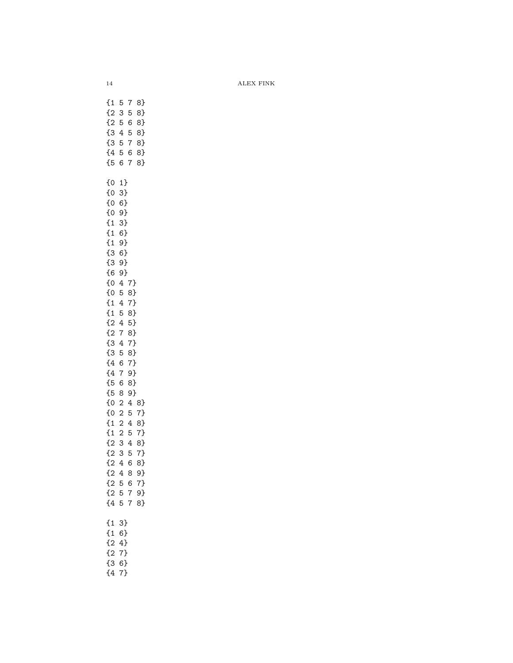14 ALEX FINK

{1 5 7 8} {2 3 5 8} {2 5 6 8} {3 4 5 8} {3 5 7 8} {4 5 6 8} {5 6 7 8} {0 1} {0 3} {0 6} {0 9} {1 3} {1 6} {1 9} {3 6} {3 9} {6 9} {0 4 7} {0 5 8} {1 4 7} {1 5 8} {2 4 5} {2 7 8} {3 4 7} {3 5 8} {4 6 7} {4 7 9} {5 6 8} {5 8 9} {0 2 4 8} {0 2 5 7} {1 2 4 8} {1 2 5 7} {2 3 4 8} {2 3 5 7} {2 4 6 8} {2 4 8 9} {2 5 6 7} {2 5 7 9} {4 5 7 8} {1 3} {1 6} {2 4} {2 7} {3 6} {4 7}